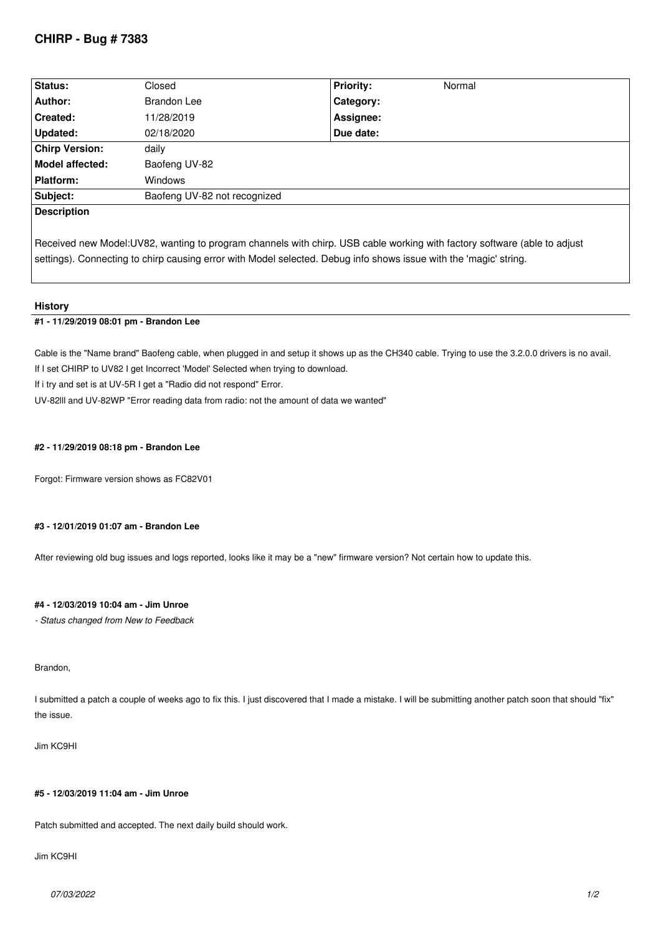# **CHIRP - Bug # 7383**

| <b>Status:</b>         | Closed                       | <b>Priority:</b> | Normal |
|------------------------|------------------------------|------------------|--------|
| Author:                | <b>Brandon Lee</b>           | <b>Category:</b> |        |
| <b>Created:</b>        | 11/28/2019                   | Assignee:        |        |
| Updated:               | 02/18/2020                   | Due date:        |        |
| <b>Chirp Version:</b>  | daily                        |                  |        |
| <b>Model affected:</b> | Baofeng UV-82                |                  |        |
| <b>Platform:</b>       | <b>Windows</b>               |                  |        |
| Subject:               | Baofeng UV-82 not recognized |                  |        |
| <b>Description</b>     |                              |                  |        |

*Received new Model:UV82, wanting to program channels with chirp. USB cable working with factory software (able to adjust settings). Connecting to chirp causing error with Model selected. Debug info shows issue with the 'magic' string.*

### **History**

## **#1 - 11/29/2019 08:01 pm - Brandon Lee**

*Cable is the "Name brand" Baofeng cable, when plugged in and setup it shows up as the CH340 cable. Trying to use the 3.2.0.0 drivers is no avail. If I set CHIRP to UV82 I get Incorrect 'Model' Selected when trying to download.*

*If i try and set is at UV-5R I get a "Radio did not respond" Error.*

*UV-82lll and UV-82WP "Error reading data from radio: not the amount of data we wanted"*

### **#2 - 11/29/2019 08:18 pm - Brandon Lee**

*Forgot: Firmware version shows as FC82V01*

### **#3 - 12/01/2019 01:07 am - Brandon Lee**

*After reviewing old bug issues and logs reported, looks like it may be a "new" firmware version? Not certain how to update this.*

## **#4 - 12/03/2019 10:04 am - Jim Unroe**

*- Status changed from New to Feedback*

#### *Brandon,*

*I submitted a patch a couple of weeks ago to fix this. I just discovered that I made a mistake. I will be submitting another patch soon that should "fix" the issue.*

#### *Jim KC9HI*

### **#5 - 12/03/2019 11:04 am - Jim Unroe**

*Patch submitted and accepted. The next daily build should work.*

## *Jim KC9HI*